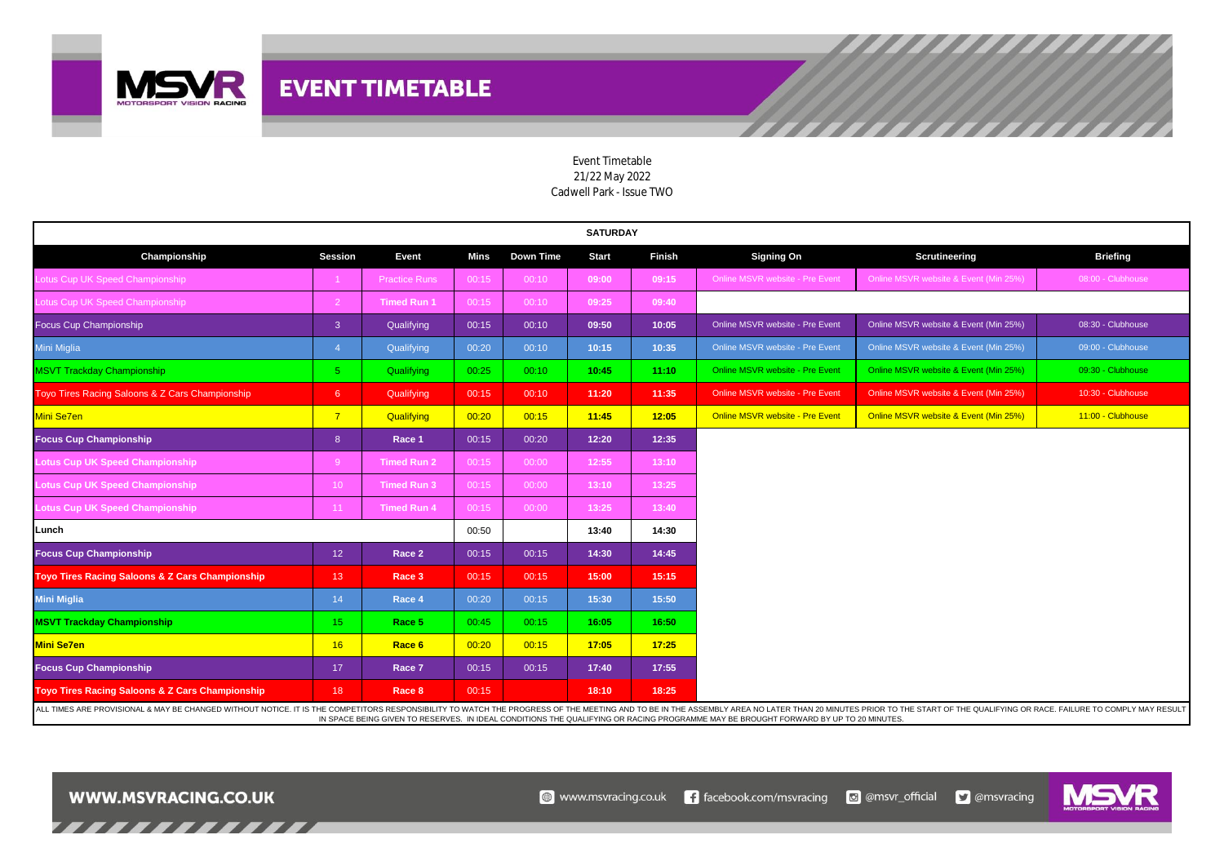

| <b>SATURDAY</b>                                 |                    |                      |       |           |                                                                                                                                                                                                                                |               |                                 |                                       |                   |  |  |  |  |  |  |  |
|-------------------------------------------------|--------------------|----------------------|-------|-----------|--------------------------------------------------------------------------------------------------------------------------------------------------------------------------------------------------------------------------------|---------------|---------------------------------|---------------------------------------|-------------------|--|--|--|--|--|--|--|
| Championship                                    | <b>Session</b>     | Event                | Mins  | Down Time | <b>Start</b>                                                                                                                                                                                                                   | <b>Finish</b> | <b>Signing On</b>               | Scrutineering                         | <b>Briefing</b>   |  |  |  |  |  |  |  |
| Lotus Cup UK Speed Championship                 |                    | <b>Practice Runs</b> | 00:15 | 00:10     | 09:00                                                                                                                                                                                                                          | 09:15         | Online MSVR website - Pre Event | Online MSVR website & Event (Min 25%) | 08:00 - Clubhouse |  |  |  |  |  |  |  |
| Lotus Cup UK Speed Championship                 | $\overline{2}$     | <b>Timed Run 1</b>   | 00:15 | 00:10     | 09:25                                                                                                                                                                                                                          | 09:40         |                                 |                                       |                   |  |  |  |  |  |  |  |
| Focus Cup Championship                          | $\overline{3}$     | Qualifying           | 00:15 | 00:10     | 09:50                                                                                                                                                                                                                          | 10:05         | Online MSVR website - Pre Event | Online MSVR website & Event (Min 25%) | 08:30 - Clubhouse |  |  |  |  |  |  |  |
| Mini Miglia                                     | $\mathbf{\Lambda}$ | Qualifying           | 00:20 | 00:10     | 10:15                                                                                                                                                                                                                          | 10:35         | Online MSVR website - Pre Event | Online MSVR website & Event (Min 25%) | 09:00 - Clubhouse |  |  |  |  |  |  |  |
| <b>MSVT Trackday Championship</b>               | 5 <sup>1</sup>     | Qualifying           | 00:25 | 00:10     | 10:45                                                                                                                                                                                                                          | 11:10         | Online MSVR website - Pre Event | Online MSVR website & Event (Min 25%) | 09:30 - Clubhouse |  |  |  |  |  |  |  |
| Toyo Tires Racing Saloons & Z Cars Championship | 6                  | Qualifying           | 00:15 | 00:10     | 11:20                                                                                                                                                                                                                          | 11:35         | Online MSVR website - Pre Event | Online MSVR website & Event (Min 25%) | 10:30 - Clubhouse |  |  |  |  |  |  |  |
| Mini Se7en                                      | $\overline{7}$     | Qualifying           | 00:20 | 00:15     | 11:45                                                                                                                                                                                                                          | 12:05         | Online MSVR website - Pre Event | Online MSVR website & Event (Min 25%) | 11:00 - Clubhouse |  |  |  |  |  |  |  |
| <b>Focus Cup Championship</b>                   | 8 <sup>8</sup>     | Race 1               | 00:15 | 00:20     | 12:20                                                                                                                                                                                                                          | 12:35         |                                 |                                       |                   |  |  |  |  |  |  |  |
| <b>Lotus Cup UK Speed Championship</b>          | -9                 | <b>Timed Run 2</b>   | 00:15 | 00:00     | 12:55                                                                                                                                                                                                                          | 13:10         |                                 |                                       |                   |  |  |  |  |  |  |  |
| <b>Lotus Cup UK Speed Championship</b>          | 10 <sup>°</sup>    | <b>Timed Run 3</b>   | 00:15 | 00:00     | 13:10                                                                                                                                                                                                                          | 13:25         |                                 |                                       |                   |  |  |  |  |  |  |  |
| Lotus Cup UK Speed Championship                 | 11                 | <b>Timed Run 4</b>   | 00:15 | 00:00     | 13:25                                                                                                                                                                                                                          | 13:40         |                                 |                                       |                   |  |  |  |  |  |  |  |
| Lunch                                           |                    |                      | 00:50 |           | 13:40                                                                                                                                                                                                                          | 14:30         |                                 |                                       |                   |  |  |  |  |  |  |  |
| <b>Focus Cup Championship</b>                   | 12 <sub>2</sub>    | Race 2               | 00:15 | 00:15     | 14:30                                                                                                                                                                                                                          | 14:45         |                                 |                                       |                   |  |  |  |  |  |  |  |
| Toyo Tires Racing Saloons & Z Cars Championship | 13 <sup>°</sup>    | Race 3               | 00:15 | 00:15     | 15:00                                                                                                                                                                                                                          | 15:15         |                                 |                                       |                   |  |  |  |  |  |  |  |
| <b>Mini Miglia</b>                              | 14                 | Race 4               | 00:20 | 00:15     | 15:30                                                                                                                                                                                                                          | 15:50         |                                 |                                       |                   |  |  |  |  |  |  |  |
| <b>MSVT Trackday Championship</b>               | 15 <sub>1</sub>    | Race 5               | 00:45 | 00:15     | 16:05                                                                                                                                                                                                                          | 16:50         |                                 |                                       |                   |  |  |  |  |  |  |  |
| <b>Mini Se7en</b>                               | 16                 | Race 6               | 00:20 | 00:15     | 17:05                                                                                                                                                                                                                          | 17:25         |                                 |                                       |                   |  |  |  |  |  |  |  |
| <b>Focus Cup Championship</b>                   | 17                 | Race 7               | 00:15 | 00:15     | 17:40                                                                                                                                                                                                                          | 17:55         |                                 |                                       |                   |  |  |  |  |  |  |  |
| Toyo Tires Racing Saloons & Z Cars Championship | 18                 | Race 8               | 00:15 |           | 18:10                                                                                                                                                                                                                          | 18:25         |                                 |                                       |                   |  |  |  |  |  |  |  |
|                                                 |                    |                      |       |           | ALL TIMES ARE PROVISIONAL & MAY BE CHANGED WITHOUT NOTICE. IT IS THE COMPETITORS RESPONSIBILITY TO WATCH THE PROGRESS OF THE MEETING AND TO BE IN THE ASSEMBLY AREA NO LATER THAN 20 MINUTES PRIOR TO THE START OF THE QUALIFY |               |                                 |                                       |                   |  |  |  |  |  |  |  |

## Event Timetable 21/22 May 2022 Cadwell Park - Issue TWO

ALL TIMES ARE PROVISIONAL & MAY BE CHANGED WITHOUT NOTICE. IT IS THE COMPETITORS RESPONSIBILITY TO WATCH THE PROGRESS OF THE MEETING AND TO BE IN THE ASSEMBLY AREA NO LATER THAN 20 MINUTES PRIOR TO THE START OF THE QUALIFY IN SPACE BEING GIVEN TO RESERVES. IN IDEAL CONDITIONS THE QUALIFYING OR RACING PROGRAMME MAY BE BROUGHT FORWARD BY UP TO 20 MINUTES.



,,,,,,,,,,,,,